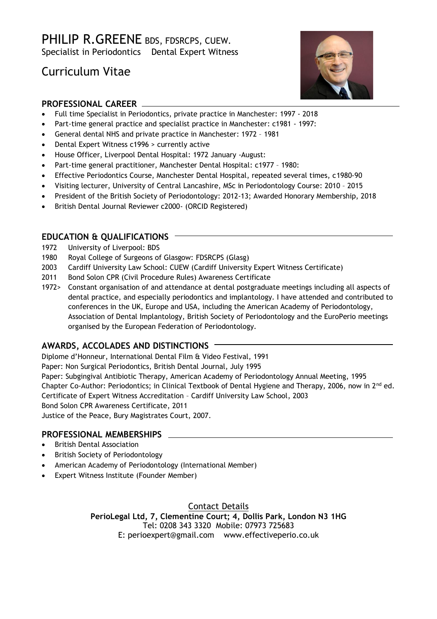## PHILIP R.GREENE BDS, FDSRCPS, CUEW. Specialist in Periodontics Dental Expert Witness

# Curriculum Vitae



### **PROFESSIONAL CAREER**

- Full time Specialist in Periodontics, private practice in Manchester: 1997 2018
- Part-time general practice and specialist practice in Manchester: c1981 1997:
- General dental NHS and private practice in Manchester: 1972 1981
- Dental Expert Witness c1996 > currently active
- House Officer, Liverpool Dental Hospital: 1972 January -August:
- Part-time general practitioner, Manchester Dental Hospital: c1977 1980:
- Effective Periodontics Course, Manchester Dental Hospital, repeated several times, c1980-90
- Visiting lecturer, University of Central Lancashire, MSc in Periodontology Course: 2010 2015
- President of the British Society of Periodontology: 2012-13; Awarded Honorary Membership, 2018
- British Dental Journal Reviewer c2000- (ORCID Registered)

#### **EDUCATION & QUALIFICATIONS**

- 1972 University of Liverpool: BDS
- 1980 Royal College of Surgeons of Glasgow: FDSRCPS (Glasg)
- 2003 Cardiff University Law School: CUEW (Cardiff University Expert Witness Certificate)
- 2011 Bond Solon CPR (Civil Procedure Rules) Awareness Certificate
- 1972> Constant organisation of and attendance at dental postgraduate meetings including all aspects of dental practice, and especially periodontics and implantology. I have attended and contributed to conferences in the UK, Europe and USA, including the American Academy of Periodontology, Association of Dental Implantology, British Society of Periodontology and the EuroPerio meetings organised by the European Federation of Periodontology.

#### **AWARDS, ACCOLADES AND DISTINCTIONS**

Diplome d'Honneur, International Dental Film & Video Festival, 1991 Paper: Non Surgical Periodontics, British Dental Journal, July 1995 Paper: Subgingival Antibiotic Therapy, American Academy of Periodontology Annual Meeting, 1995 Chapter Co-Author: Periodontics; in Clinical Textbook of Dental Hygiene and Therapy, 2006, now in  $2^{nd}$  ed. Certificate of Expert Witness Accreditation – Cardiff University Law School, 2003 Bond Solon CPR Awareness Certificate, 2011

Justice of the Peace, Bury Magistrates Court, 2007.

#### **PROFESSIONAL MEMBERSHIPS**

- British Dental Association
- British Society of Periodontology
- American Academy of Periodontology (International Member)
- Expert Witness Institute (Founder Member)

Contact Details **PerioLegal Ltd, 7, Clementine Court; 4, Dollis Park, London N3 1HG**  Tel: 0208 343 3320 Mobile: 07973 725683

E: perioexpert@gmail.com www.effectiveperio.co.uk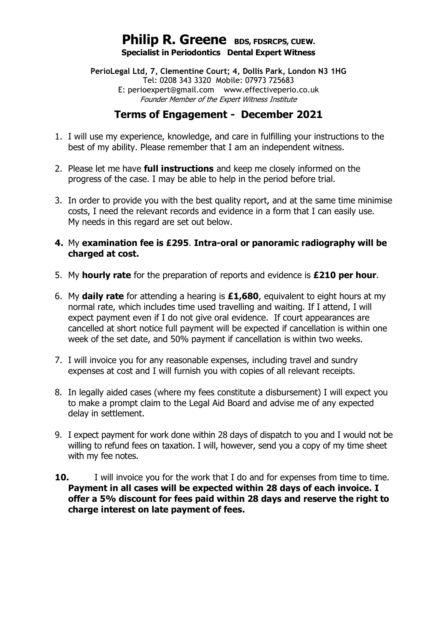## **Philip R. Greene BDS, FDSRCPS, CUEW. Specialist in Periodontics Dental Expert Witness**

**PerioLegal Ltd, 7, Clementine Court; 4, Dollis Park, London N3 1HG** Tel: 0208 343 3320 Mobile: 07973 725683 E: perioexpert@gmail.com www.effectiveperio.co.uk Founder Member of the Expert Witness Institute

## **Terms of Engagement - December 2021**

- 1. I will use my experience, knowledge, and care in fulfilling your instructions to the best of my ability. Please remember that I am an independent witness.
- 2. Please let me have **full instructions** and keep me closely informed on the progress of the case. I may be able to help in the period before trial.
- 3. In order to provide you with the best quality report, and at the same time minimise costs, I need the relevant records and evidence in a form that I can easily use. My needs in this regard are set out below.
- **4.** My **examination fee is £295**. **Intra-oral or panoramic radiography will be charged at cost.**
- 5. My **hourly rate** for the preparation of reports and evidence is **£210 per hour**.
- 6. My **daily rate** for attending a hearing is **£1,680**, equivalent to eight hours at my normal rate, which includes time used travelling and waiting. If I attend, I will expect payment even if I do not give oral evidence. If court appearances are cancelled at short notice full payment will be expected if cancellation is within one week of the set date, and 50% payment if cancellation is within two weeks.
- 7. I will invoice you for any reasonable expenses, including travel and sundry expenses at cost and I will furnish you with copies of all relevant receipts.
- 8. In legally aided cases (where my fees constitute a disbursement) I will expect you to make a prompt claim to the Legal Aid Board and advise me of any expected delay in settlement.
- 9. I expect payment for work done within 28 days of dispatch to you and I would not be willing to refund fees on taxation. I will, however, send you a copy of my time sheet with my fee notes.
- **10.** I will invoice you for the work that I do and for expenses from time to time. **Payment in all cases will be expected within 28 days of each invoice. I offer a 5% discount for fees paid within 28 days and reserve the right to charge interest on late payment of fees.**